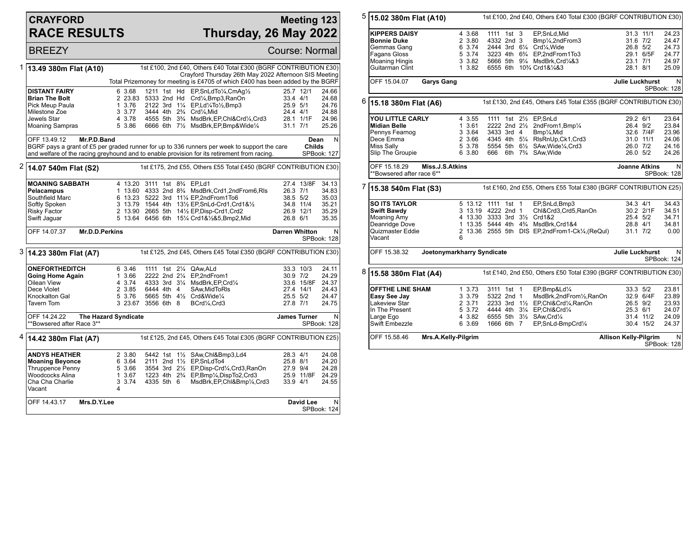## **CRAYFORD RACE RESULTS**

## **Meeting 123 Thursday, 26 May 2022**

**BREEZY** Course: Normal

|                                                                                               | 1 13.49 380m Flat (A10)                                                        |                      |                                        |  |  | 1st £100, 2nd £40, Others £40 Total £300 (BGRF CONTRIBUTION £30)<br>Crayford Thursday 26th May 2022 Afternoon SIS Meeting |                       |                     |                         |
|-----------------------------------------------------------------------------------------------|--------------------------------------------------------------------------------|----------------------|----------------------------------------|--|--|---------------------------------------------------------------------------------------------------------------------------|-----------------------|---------------------|-------------------------|
|                                                                                               | Total Prizemoney for meeting is £4705 of which £400 has been added by the BGRF |                      |                                        |  |  |                                                                                                                           |                       |                     |                         |
|                                                                                               | <b>DISTANT FAIRY</b>                                                           | 6 3.68               | 1211 1st Hd                            |  |  | EP,SnLdTo1/4,CmAg1/2                                                                                                      |                       | 25.7 12/1           | 24.66                   |
|                                                                                               | <b>Brian The Bolt</b>                                                          | 2 23.83 5333 2nd Hd  |                                        |  |  | Crd1/ <sub>4</sub> , Bmp3, RanOn                                                                                          | 33.4 4/1              |                     | 24.68                   |
|                                                                                               | Pick Meup Paula                                                                | 1 3.76               |                                        |  |  | 2122 3rd 11/4 EP, Ld1/4To1/2, Bmp3                                                                                        | 25.9 5/1              |                     | 24.76                   |
|                                                                                               | Milestone Zoe                                                                  | 3 3.77               |                                        |  |  | 3444 4th 23/4 Crd1/4.Mid                                                                                                  | 24.4 4/1              |                     | 24.88                   |
|                                                                                               | Jewels Star                                                                    | 4 3.78               |                                        |  |  | 4555 5th 33/4 MsdBrk, EP, Chl&Crd1/4, Crd3                                                                                |                       | 28.1 1/1F           | 24.96                   |
|                                                                                               | <b>Moaning Sampras</b>                                                         | 5 3.86               |                                        |  |  | 6666 6th 71/2 MsdBrk, EP, Bmp& Wide1/4                                                                                    | $31.1$ $7/1$          |                     | 25.26                   |
|                                                                                               | OFF 13.49.12<br>Mr.P.D.Band                                                    |                      |                                        |  |  |                                                                                                                           |                       | Dean                | N                       |
|                                                                                               |                                                                                |                      |                                        |  |  | BGRF pays a grant of £5 per graded runner for up to 336 runners per week to support the care                              |                       | Childs              |                         |
|                                                                                               |                                                                                |                      |                                        |  |  | and welfare of the racing greyhound and to enable provision for its retirement from racing.                               |                       | SPBook: 127         |                         |
|                                                                                               | <sup>2</sup> 14.07 540m Flat (S2)                                              |                      |                                        |  |  | 1st £175, 2nd £55, Others £55 Total £450 (BGRF CONTRIBUTION £30)                                                          |                       |                     |                         |
|                                                                                               | <b>MOANING SABBATH</b>                                                         | 4 13.20              |                                        |  |  |                                                                                                                           |                       | 27.4 13/8F          |                         |
|                                                                                               | Pelacampus                                                                     |                      |                                        |  |  | 3111 1st 8% EP,Ld1<br>1 13.60 4333 2nd 8 <sup>3</sup> /4 MsdBrk, Crd1, 2nd From 6, RIs                                    | 26.3 7/1              |                     | 34.13<br>34.83          |
|                                                                                               | Southfield Marc                                                                |                      |                                        |  |  | 6 13.23 5222 3rd 111/4 EP,2ndFrom1To6                                                                                     | 38.5 5/2              |                     | 35.03                   |
|                                                                                               | Softly Spoken                                                                  |                      |                                        |  |  | 3 13.79 1544 4th 131/2 EP, SnLd-Crd1, Crd1&1/2                                                                            |                       | 34.8 11/4           | 35.21                   |
|                                                                                               | <b>Risky Factor</b>                                                            |                      |                                        |  |  | 2 13.90 2665 5th 141/2 EP, Disp-Crd1, Crd2                                                                                |                       | 26.9 12/1           | 35.29                   |
|                                                                                               | Swift Jaguar                                                                   |                      |                                        |  |  | 5 13.64 6456 6th 151/4 Crd1&1/2&5,Bmp2,Mid                                                                                | 26.8 6/1              |                     | 35.35                   |
|                                                                                               |                                                                                |                      |                                        |  |  |                                                                                                                           |                       |                     |                         |
|                                                                                               | OFF 14.07.37<br><b>Mr.D.D.Perkins</b>                                          |                      |                                        |  |  |                                                                                                                           | <b>Darren Whitton</b> |                     | N<br>SPBook: 128        |
| 3<br>1st £125, 2nd £45, Others £45 Total £350 (BGRF CONTRIBUTION £30)<br>14.23 380m Flat (A7) |                                                                                |                      |                                        |  |  |                                                                                                                           |                       |                     |                         |
|                                                                                               |                                                                                |                      |                                        |  |  | 1111 1st 21/4 QAw.ALd                                                                                                     |                       | 33.3 10/3           | 24.11                   |
|                                                                                               |                                                                                |                      |                                        |  |  |                                                                                                                           |                       |                     | 24.29                   |
|                                                                                               | <b>ONEFORTHEDITCH</b>                                                          | 6 3.46               |                                        |  |  |                                                                                                                           |                       |                     |                         |
|                                                                                               | <b>Going Home Again</b><br>Oilean View                                         | 1 3.66<br>4 3.74     | 2222 2nd 21/4<br>4333 3rd 31/4         |  |  | EP,2ndFrom1                                                                                                               | 30.9 7/2              | 33.6 15/8F          | 24.37                   |
|                                                                                               | Dece Violet                                                                    | 2 3.85               | 6444 4th 4                             |  |  | MsdBrk, EP, Crd1/4<br>SAw.MidToRIs                                                                                        |                       | 27.4 14/1           | 24.43                   |
|                                                                                               | Knockalton Gal                                                                 | 5 3.76               |                                        |  |  | 5665 5th 41/2 Crd&Wide1/4                                                                                                 | 25.5 5/2              |                     | 24.47                   |
|                                                                                               | Tavern Tom                                                                     | 3 23.67 3556 6th 8   |                                        |  |  | BCrd1/4,Crd3                                                                                                              | 27.8 7/1              |                     | 24.75                   |
|                                                                                               | OFF 14.24.22<br>**Bowsered after Race 3**                                      | The Hazard Syndicate |                                        |  |  |                                                                                                                           |                       | <b>James Turner</b> | N<br><b>SPBook: 128</b> |
|                                                                                               | <sup>4</sup> 14.42 380m Flat (A7)                                              |                      |                                        |  |  | 1st £125, 2nd £45, Others £45 Total £305 (BGRF CONTRIBUTION £25)                                                          |                       |                     |                         |
|                                                                                               |                                                                                |                      |                                        |  |  |                                                                                                                           |                       |                     |                         |
|                                                                                               | <b>ANDYS HEATHER</b>                                                           | 2 3.80               | 5442 1st                               |  |  | 11/2 SAw, Chl&Bmp3, Ld4                                                                                                   | 28.3 4/1              |                     | 24.08                   |
|                                                                                               | <b>Moaning Beyonce</b>                                                         | 6 3.64               |                                        |  |  | 2111 2nd 11/2 EP, SnLdTo4                                                                                                 | 25.8 8/1              |                     | 24.20                   |
|                                                                                               | <b>Thruppence Penny</b>                                                        | 5 3.66               |                                        |  |  | 3554 3rd 21/2 EP, Disp-Crd1/4, Crd3, RanOn                                                                                | 27.9 9/4              |                     | 24.28                   |
|                                                                                               | Woodcocks Alina                                                                | 1 3.67               | 1223 4th 2 <sup>3</sup> / <sub>4</sub> |  |  | EP,Bmp1/4,DispTo2,Crd3                                                                                                    |                       | 25.9 11/8F          | 24.29                   |
|                                                                                               | Cha Cha Charlie<br>Vacant                                                      | 3 3.74<br>4          | 4335 5th 6                             |  |  | MsdBrk, EP, Chl&Bmp1/4, Crd3                                                                                              | 33.9 4/1              |                     | 24.55                   |
|                                                                                               | OFF 14.43.17<br>Mrs.D.Y.Lee                                                    |                      |                                        |  |  |                                                                                                                           |                       | David Lee           | N                       |

| 5 | 15.02 380m Flat (A10)                                                                                                 |                                                           |                                                                                                     | 1st £100, 2nd £40, Others £40 Total £300 (BGRF CONTRIBUTION £30)                                                                                                                     |                                                                         |                                                    |  |  |
|---|-----------------------------------------------------------------------------------------------------------------------|-----------------------------------------------------------|-----------------------------------------------------------------------------------------------------|--------------------------------------------------------------------------------------------------------------------------------------------------------------------------------------|-------------------------------------------------------------------------|----------------------------------------------------|--|--|
|   | <b>KIPPERS DAISY</b><br><b>Bonnie Duke</b><br>Gemmas Gang<br>Fagans Gloss<br><b>Moaning Hingis</b><br>Guitarman Clint | 4 3.68<br>2 3.80<br>6 3.74<br>5 3.74<br>3 3.82<br>1 3.82  | 1111 1st 3<br>4332 2nd 3<br>2444 3rd 61/4 Crd1/4, Wide<br>6555 6th 103/4 Crd1&1/4&3                 | EP,SnLd,Mid<br>Bmp1/ <sub>4</sub> ,2ndFrom3<br>3223 4th 6 <sup>3</sup> / <sub>4</sub> EP,2ndFrom1To3<br>5666 5th 91/4 MsdBrk, Crd1/4&3                                               | 31.3 11/1<br>31.6 7/2<br>26.8 5/2<br>29.1 6/5F<br>23.1 7/1<br>28.1 8/1  | 24.23<br>24.47<br>24.73<br>24.77<br>24.97<br>25.09 |  |  |
|   | OFF 15.04.07<br><b>Garys Gang</b>                                                                                     |                                                           |                                                                                                     |                                                                                                                                                                                      | Julie Luckhurst                                                         | N.<br><b>SPBook: 128</b>                           |  |  |
| 6 | 15.18 380m Flat (A6)                                                                                                  |                                                           |                                                                                                     | 1st £130, 2nd £45, Others £45 Total £355 (BGRF CONTRIBUTION £30)                                                                                                                     |                                                                         |                                                    |  |  |
|   | YOU LITTLE CARLY<br><b>Midian Belle</b><br>Pennys Fearnog<br>Dece Emma<br>Miss Sally<br>Slip The Groupie              | 4 3.55<br>1 3.61<br>3 3.64<br>2 3.66<br>5 3.78<br>6 3.80  | 1111 1st 21/ <sub>2</sub> EP.SnLd<br>3433 3rd 4<br>666 6th 73/4 SAw, Wide                           | 2222 2nd 21/ <sub>2</sub> 2ndFrom1,Bmp <sup>1</sup> / <sub>4</sub><br>Bmp <sup>1</sup> / <sub>4</sub> , Mid<br>4345 4th 51/4 RIsRnUp, Ck1, Crd3<br>5554 5th 61/2 SAw, Wide 1/4, Crd3 | 29.2 6/1<br>26.4 9/2<br>32.6 7/4F<br>31.0 11/1<br>26.0 7/2<br>26.0 5/2  | 23.64<br>23.84<br>23.96<br>24.06<br>24.16<br>24.26 |  |  |
|   | OFF 15.18.29<br>Miss.J.S.Atkins<br>**Bowsered after race 6**                                                          |                                                           |                                                                                                     |                                                                                                                                                                                      | <b>Joanne Atkins</b>                                                    | N.<br>SPBook: 128                                  |  |  |
| 7 | 15.38 540m Flat (S3)                                                                                                  |                                                           |                                                                                                     | 1st £160, 2nd £55, Others £55 Total £380 (BGRF CONTRIBUTION £25)                                                                                                                     |                                                                         |                                                    |  |  |
|   | <b>SO ITS TAYLOR</b><br><b>Swift Bawdy</b><br><b>Moaning Amy</b><br>Deanridge Dove<br>Quizmaster Eddie<br>Vacant      | 6                                                         | 5 13.12 1111 1st 1<br>3 13.19 4222 2nd 1<br>4 13.30 3333 3rd 31/2 Crd1&2                            | EP,SnLd,Bmp3<br>Chl&Crd3,Crd5,RanOn<br>1 13.35 5444 4th 4% MsdBrk, Crd1&4<br>2 13.36 2555 5th DIS EP, 2nd From 1-Ck <sup>1</sup> / <sub>4</sub> , (ReQuI)                            | 34.3 4/1<br>30.2 2/1F<br>25.4 5/2<br>28.8 4/1<br>$31.1$ $7/2$           | 34.43<br>34.51<br>34.71<br>34.81<br>0.00           |  |  |
|   | OFF 15.38.32                                                                                                          | Joetonymarkharry Syndicate                                |                                                                                                     |                                                                                                                                                                                      | Julie Luckhurst                                                         | N.<br>SPBook: 124                                  |  |  |
| 8 | 1st £140, 2nd £50, Others £50 Total £390 (BGRF CONTRIBUTION £30)<br>15.58 380m Flat (A4)                              |                                                           |                                                                                                     |                                                                                                                                                                                      |                                                                         |                                                    |  |  |
|   | <b>OFFTHE LINE SHAM</b><br>Easy See Jay<br>Lakeview Star<br>In The Present<br>Large Ego<br>Swift Embezzle             | 1, 3.73<br>3 3.79<br>2 3.71<br>5 3.72<br>4 3.82<br>6 3.69 | 3111 1st 1<br>5322 2nd 1<br>4444 4th 31/4 EP, Chl&Crd1/4<br>6555 5th 31/2 SAw, Crd1/4<br>1666 6th 7 | EP,Bmp&Ld1/4<br>MsdBrk,2ndFrom1/2,RanOn<br>2233 3rd 11/2 EP, Chl&Crd1/4, RanOn<br>EP,SnLd-BmpCrd1/4                                                                                  | 33.3 5/2<br>32.9 6/4F<br>26.5 9/2<br>25.3 6/1<br>31.4 11/2<br>30.4 15/2 | 23.81<br>23.89<br>23.93<br>24.07<br>24.09<br>24.37 |  |  |
|   | OFF 15.58.46<br>Mrs.A.Kelly-Pilgrim                                                                                   |                                                           |                                                                                                     |                                                                                                                                                                                      | <b>Allison Kelly-Pilgrim</b>                                            | N<br>SPBook: 128                                   |  |  |